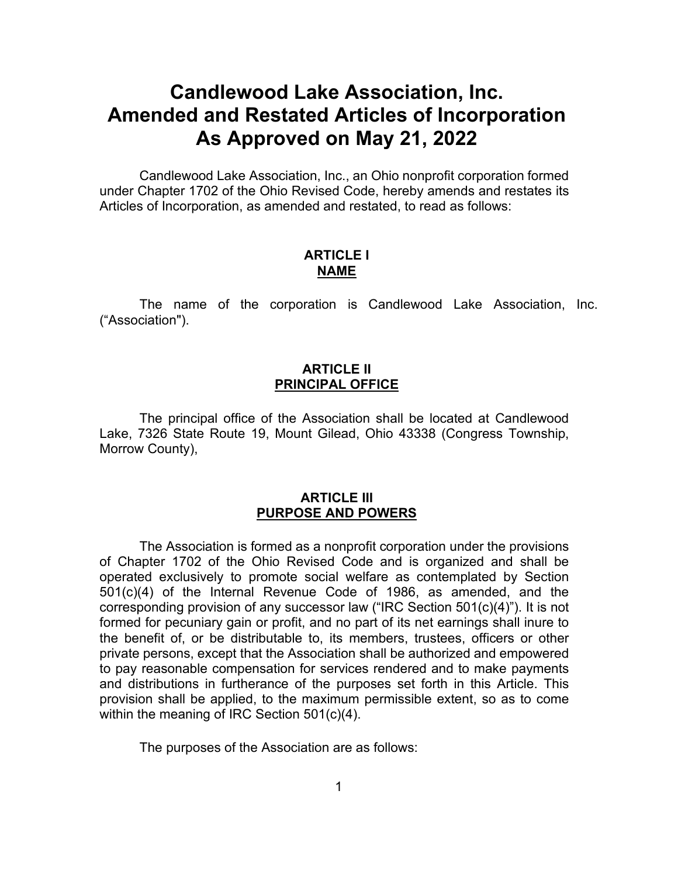# **Candlewood Lake Association, Inc. Amended and Restated Articles of Incorporation As Approved on May 21, 2022**

Candlewood Lake Association, Inc., an Ohio nonprofit corporation formed under Chapter 1702 of the Ohio Revised Code, hereby amends and restates its Articles of Incorporation, as amended and restated, to read as follows:

## **ARTICLE I NAME**

The name of the corporation is Candlewood Lake Association, Inc. ("Association").

# **ARTICLE II PRINCIPAL OFFICE**

The principal office of the Association shall be located at Candlewood Lake, 7326 State Route 19, Mount Gilead, Ohio 43338 (Congress Township, Morrow County),

## **ARTICLE III PURPOSE AND POWERS**

The Association is formed as a nonprofit corporation under the provisions of Chapter 1702 of the Ohio Revised Code and is organized and shall be operated exclusively to promote social welfare as contemplated by Section 501(c)(4) of the Internal Revenue Code of 1986, as amended, and the corresponding provision of any successor law ("IRC Section 501(c)(4)"). It is not formed for pecuniary gain or profit, and no part of its net earnings shall inure to the benefit of, or be distributable to, its members, trustees, officers or other private persons, except that the Association shall be authorized and empowered to pay reasonable compensation for services rendered and to make payments and distributions in furtherance of the purposes set forth in this Article. This provision shall be applied, to the maximum permissible extent, so as to come within the meaning of IRC Section 501(c)(4).

The purposes of the Association are as follows: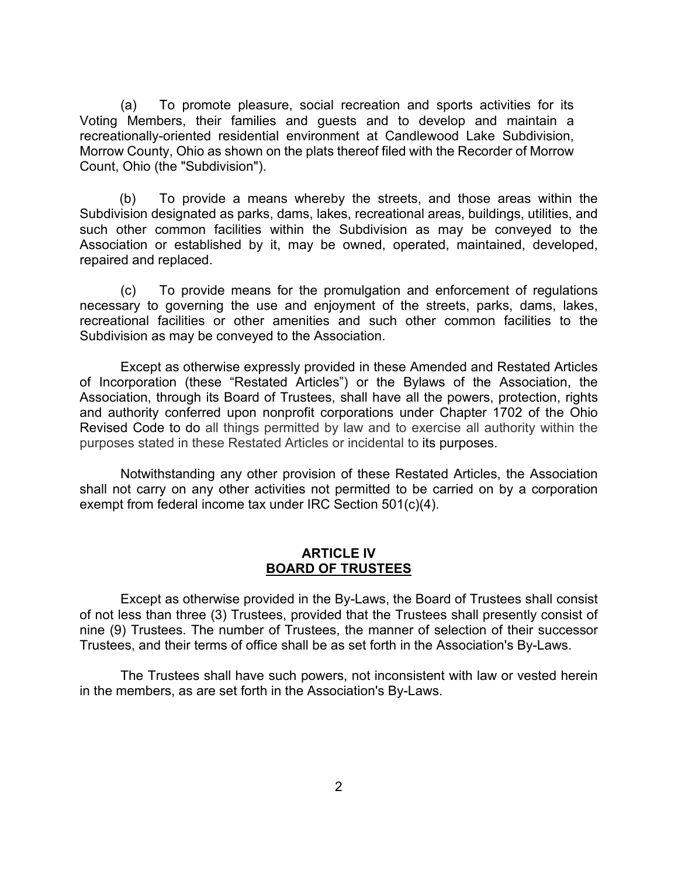(a) To promote pleasure, social recreation and sports activities for its Voting Members, their families and guests and to develop and maintain a recreationally-oriented residential environment at Candlewood Lake Subdivision, Morrow County, Ohio as shown on the plats thereof filed with the Recorder of Morrow Count, Ohio (the "Subdivision").

(b) To provide a means whereby the streets, and those areas within the Subdivision designated as parks, dams, lakes, recreational areas, buildings, utilities, and such other common facilities within the Subdivision as may be conveyed to the Association or established by it, may be owned, operated, maintained, developed, repaired and replaced.

(c) To provide means for the promulgation and enforcement of regulations necessary to governing the use and enjoyment of the streets, parks, dams, lakes, recreational facilities or other amenities and such other common facilities to the Subdivision as may be conveyed to the Association.

 Except as otherwise expressly provided in these Amended and Restated Articles of Incorporation (these "Restated Articles") or the Bylaws of the Association, the Association, through its Board of Trustees, shall have all the powers, protection, rights and authority conferred upon nonprofit corporations under Chapter 1702 of the Ohio Revised Code to do all things permitted by law and to exercise all authority within the purposes stated in these Restated Articles or incidental to its purposes.

Notwithstanding any other provision of these Restated Articles, the Association shall not carry on any other activities not permitted to be carried on by a corporation exempt from federal income tax under IRC Section 501(c)(4).

#### **ARTICLE IV BOARD OF TRUSTEES**

Except as otherwise provided in the By-Laws, the Board of Trustees shall consist of not less than three (3) Trustees, provided that the Trustees shall presently consist of nine (9) Trustees. The number of Trustees, the manner of selection of their successor Trustees, and their terms of office shall be as set forth in the Association's By-Laws.

The Trustees shall have such powers, not inconsistent with law or vested herein in the members, as are set forth in the Association's By-Laws.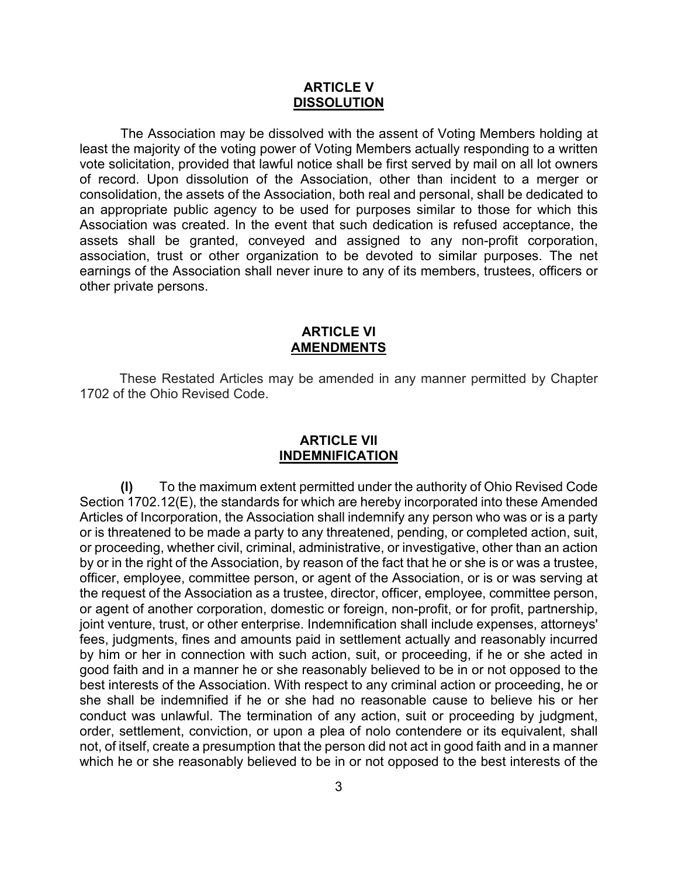#### **ARTICLE V DISSOLUTION**

The Association may be dissolved with the assent of Voting Members holding at least the majority of the voting power of Voting Members actually responding to a written vote solicitation, provided that lawful notice shall be first served by mail on all lot owners of record. Upon dissolution of the Association, other than incident to a merger or consolidation, the assets of the Association, both real and personal, shall be dedicated to an appropriate public agency to be used for purposes similar to those for which this Association was created. In the event that such dedication is refused acceptance, the assets shall be granted, conveyed and assigned to any non-profit corporation, association, trust or other organization to be devoted to similar purposes. The net earnings of the Association shall never inure to any of its members, trustees, officers or other private persons.

## **ARTICLE VI AMENDMENTS**

These Restated Articles may be amended in any manner permitted by Chapter 1702 of the Ohio Revised Code.

# **ARTICLE VII INDEMNIFICATION**

**(l)** To the maximum extent permitted under the authority of Ohio Revised Code Section 1702.12(E), the standards for which are hereby incorporated into these Amended Articles of Incorporation, the Association shall indemnify any person who was or is a party or is threatened to be made a party to any threatened, pending, or completed action, suit, or proceeding, whether civil, criminal, administrative, or investigative, other than an action by or in the right of the Association, by reason of the fact that he or she is or was a trustee, officer, employee, committee person, or agent of the Association, or is or was serving at the request of the Association as a trustee, director, officer, employee, committee person, or agent of another corporation, domestic or foreign, non-profit, or for profit, partnership, joint venture, trust, or other enterprise. Indemnification shall include expenses, attorneys' fees, judgments, fines and amounts paid in settlement actually and reasonably incurred by him or her in connection with such action, suit, or proceeding, if he or she acted in good faith and in a manner he or she reasonably believed to be in or not opposed to the best interests of the Association. With respect to any criminal action or proceeding, he or she shall be indemnified if he or she had no reasonable cause to believe his or her conduct was unlawful. The termination of any action, suit or proceeding by judgment, order, settlement, conviction, or upon a plea of nolo contendere or its equivalent, shall not, of itself, create a presumption that the person did not act in good faith and in a manner which he or she reasonably believed to be in or not opposed to the best interests of the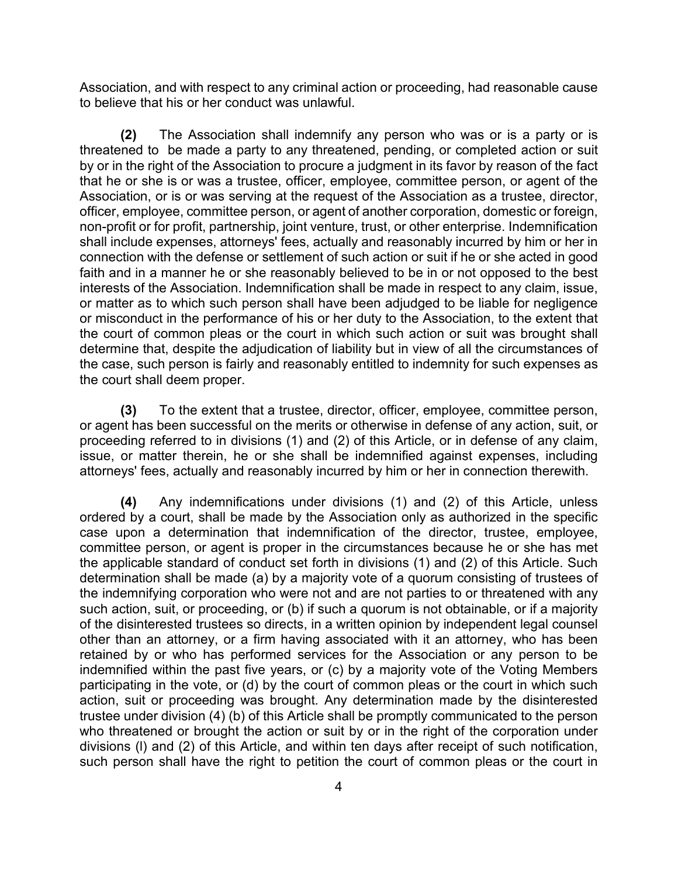Association, and with respect to any criminal action or proceeding, had reasonable cause to believe that his or her conduct was unlawful.

**(2)** The Association shall indemnify any person who was or is a party or is threatened to be made a party to any threatened, pending, or completed action or suit by or in the right of the Association to procure a judgment in its favor by reason of the fact that he or she is or was a trustee, officer, employee, committee person, or agent of the Association, or is or was serving at the request of the Association as a trustee, director, officer, employee, committee person, or agent of another corporation, domestic or foreign, non-profit or for profit, partnership, joint venture, trust, or other enterprise. Indemnification shall include expenses, attorneys' fees, actually and reasonably incurred by him or her in connection with the defense or settlement of such action or suit if he or she acted in good faith and in a manner he or she reasonably believed to be in or not opposed to the best interests of the Association. Indemnification shall be made in respect to any claim, issue, or matter as to which such person shall have been adjudged to be liable for negligence or misconduct in the performance of his or her duty to the Association, to the extent that the court of common pleas or the court in which such action or suit was brought shall determine that, despite the adjudication of liability but in view of all the circumstances of the case, such person is fairly and reasonably entitled to indemnity for such expenses as the court shall deem proper.

**(3)** To the extent that a trustee, director, officer, employee, committee person, or agent has been successful on the merits or otherwise in defense of any action, suit, or proceeding referred to in divisions (1) and (2) of this Article, or in defense of any claim, issue, or matter therein, he or she shall be indemnified against expenses, including attorneys' fees, actually and reasonably incurred by him or her in connection therewith.

**(4)** Any indemnifications under divisions (1) and (2) of this Article, unless ordered by a court, shall be made by the Association only as authorized in the specific case upon a determination that indemnification of the director, trustee, employee, committee person, or agent is proper in the circumstances because he or she has met the applicable standard of conduct set forth in divisions (1) and (2) of this Article. Such determination shall be made (a) by a majority vote of a quorum consisting of trustees of the indemnifying corporation who were not and are not parties to or threatened with any such action, suit, or proceeding, or (b) if such a quorum is not obtainable, or if a majority of the disinterested trustees so directs, in a written opinion by independent legal counsel other than an attorney, or a firm having associated with it an attorney, who has been retained by or who has performed services for the Association or any person to be indemnified within the past five years, or (c) by a majority vote of the Voting Members participating in the vote, or (d) by the court of common pleas or the court in which such action, suit or proceeding was brought. Any determination made by the disinterested trustee under division (4) (b) of this Article shall be promptly communicated to the person who threatened or brought the action or suit by or in the right of the corporation under divisions (l) and (2) of this Article, and within ten days after receipt of such notification, such person shall have the right to petition the court of common pleas or the court in